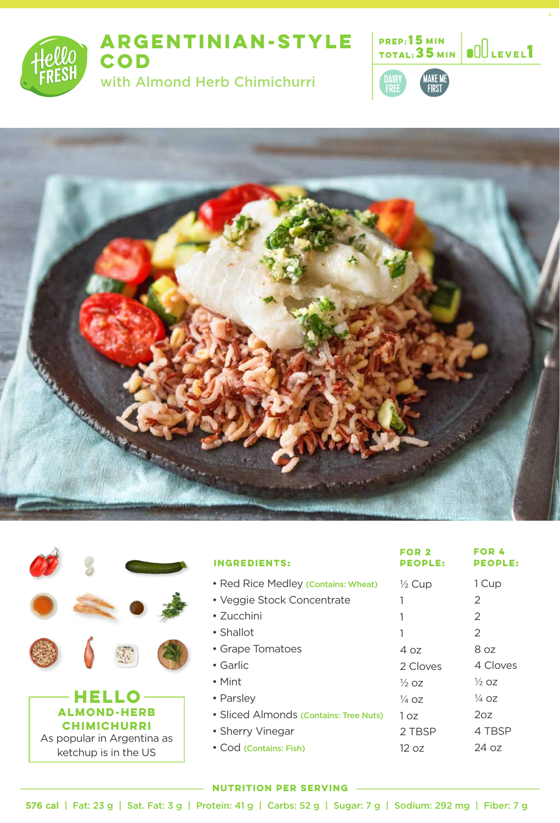

# **ARGENTINIAN-STYLE COD**

with Almond Herb Chimichurri









| <b>INGREDIENTS:</b>                    | FOR 2<br><b>PEOPLE:</b> | <b>FOR 4</b><br><b>PEOPLE:</b> |
|----------------------------------------|-------------------------|--------------------------------|
| • Red Rice Medley (Contains: Wheat)    | $\frac{1}{2}$ Cup       | 1 Cup                          |
| • Veggie Stock Concentrate             |                         | 2                              |
| $\cdot$ 7ucchini                       |                         | $\mathcal{P}$                  |
| • Shallot                              |                         | 2                              |
| • Grape Tomatoes                       | 4 oz                    | 8 oz                           |
| • Garlic                               | 2 Cloves                | 4 Cloves                       |
| $\bullet$ Mint                         | $\frac{1}{2}$ 07        | $\frac{1}{2}$ oz               |
| • Parsley                              | 1⁄4 OZ                  | $\frac{1}{4}$ oz               |
| • Sliced Almonds (Contains: Tree Nuts) | 1 oz                    | 2oz                            |
| • Sherry Vinegar                       | 2 TBSP                  | 4 TBSP                         |
| • Cod (Contains: Fish)                 | 12 oz                   | 24 oz                          |
|                                        |                         |                                |

#### **NUTRITION PER SERVING**